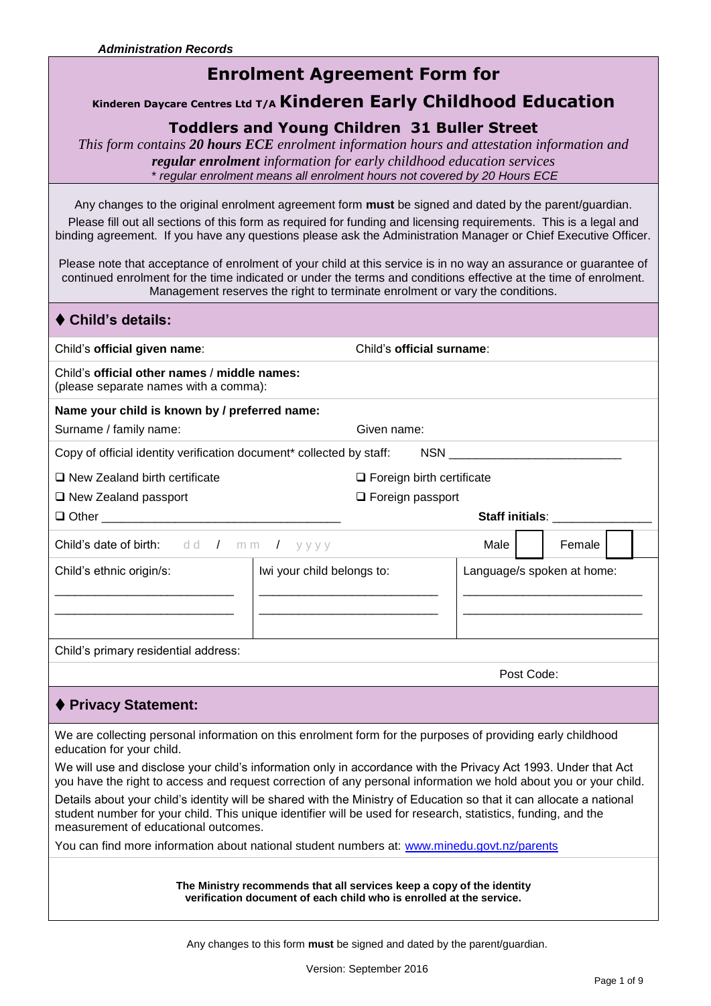# **Enrolment Agreement Form for**

### **Kinderen Daycare Centres Ltd T/A Kinderen Early Childhood Education**

## **Toddlers and Young Children 31 Buller Street**

*This form contains 20 hours ECE enrolment information hours and attestation information and regular enrolment information for early childhood education services*  \* *regular enrolment means all enrolment hours not covered by 20 Hours ECE*

Any changes to the original enrolment agreement form **must** be signed and dated by the parent/guardian.

Please fill out all sections of this form as required for funding and licensing requirements. This is a legal and binding agreement. If you have any questions please ask the Administration Manager or Chief Executive Officer.

Please note that acceptance of enrolment of your child at this service is in no way an assurance or guarantee of continued enrolment for the time indicated or under the terms and conditions effective at the time of enrolment. Management reserves the right to terminate enrolment or vary the conditions.

| ♦ Child's details:                                                                                  |                                                                                |  |            |                            |        |  |  |
|-----------------------------------------------------------------------------------------------------|--------------------------------------------------------------------------------|--|------------|----------------------------|--------|--|--|
| Child's official given name:                                                                        | Child's official surname:                                                      |  |            |                            |        |  |  |
| Child's official other names / middle names:<br>(please separate names with a comma):               |                                                                                |  |            |                            |        |  |  |
| Name your child is known by / preferred name:<br>Surname / family name:                             | Given name:                                                                    |  |            |                            |        |  |  |
| Copy of official identity verification document* collected by staff: NSN __________________________ |                                                                                |  |            |                            |        |  |  |
| $\Box$ New Zealand birth certificate<br>$\Box$ New Zealand passport                                 | $\Box$ Foreign birth certificate<br>$\Box$ Foreign passport<br>Staff initials: |  |            |                            |        |  |  |
| <b>Child's date of birth:</b> dd / mm / yyyy                                                        |                                                                                |  |            | Male                       | Female |  |  |
| Child's ethnic origin/s:                                                                            | Iwi your child belongs to:                                                     |  |            | Language/s spoken at home: |        |  |  |
| Child's primary residential address:                                                                |                                                                                |  |            |                            |        |  |  |
|                                                                                                     |                                                                                |  | Post Code: |                            |        |  |  |
| ♦ Privacy Statement:                                                                                |                                                                                |  |            |                            |        |  |  |

We are collecting personal information on this enrolment form for the purposes of providing early childhood education for your child.

We will use and disclose your child's information only in accordance with the Privacy Act 1993. Under that Act you have the right to access and request correction of any personal information we hold about you or your child.

Details about your child's identity will be shared with the Ministry of Education so that it can allocate a national student number for your child. This unique identifier will be used for research, statistics, funding, and the measurement of educational outcomes.

You can find more information about national student numbers at: [www.minedu.govt.nz/parents](http://www.minedu.govt.nz/parents)

**The Ministry recommends that all services keep a copy of the identity verification document of each child who is enrolled at the service.**

Any changes to this form **must** be signed and dated by the parent/guardian.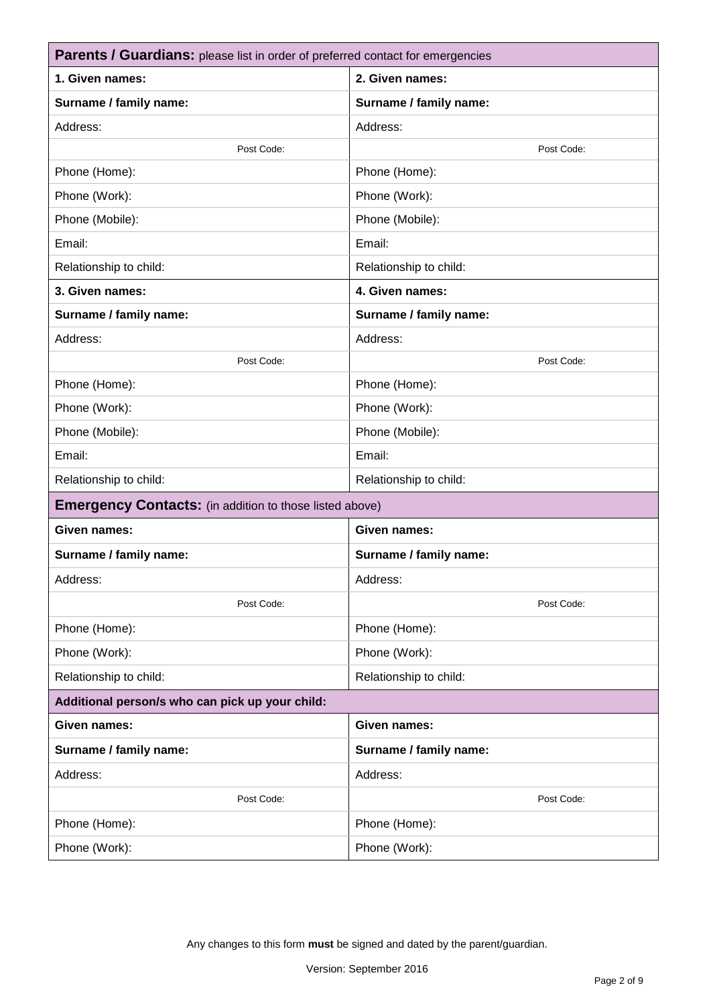| <b>Parents / Guardians:</b> please list in order of preferred contact for emergencies |                        |  |  |  |
|---------------------------------------------------------------------------------------|------------------------|--|--|--|
| 1. Given names:                                                                       | 2. Given names:        |  |  |  |
| Surname / family name:                                                                | Surname / family name: |  |  |  |
| Address:                                                                              | Address:               |  |  |  |
| Post Code:                                                                            | Post Code:             |  |  |  |
| Phone (Home):                                                                         | Phone (Home):          |  |  |  |
| Phone (Work):                                                                         | Phone (Work):          |  |  |  |
| Phone (Mobile):                                                                       | Phone (Mobile):        |  |  |  |
| Email:                                                                                | Email:                 |  |  |  |
| Relationship to child:                                                                | Relationship to child: |  |  |  |
| 3. Given names:                                                                       | 4. Given names:        |  |  |  |
| Surname / family name:                                                                | Surname / family name: |  |  |  |
| Address:                                                                              | Address:               |  |  |  |
| Post Code:                                                                            | Post Code:             |  |  |  |
| Phone (Home):                                                                         | Phone (Home):          |  |  |  |
| Phone (Work):                                                                         | Phone (Work):          |  |  |  |
| Phone (Mobile):                                                                       | Phone (Mobile):        |  |  |  |
| Email:                                                                                | Email:                 |  |  |  |
| Relationship to child:                                                                | Relationship to child: |  |  |  |
| <b>Emergency Contacts:</b> (in addition to those listed above)                        |                        |  |  |  |
| Given names:                                                                          | <b>Given names:</b>    |  |  |  |
| Surname / family name:                                                                | Surname / family name: |  |  |  |
| Address:                                                                              | Address:               |  |  |  |
| Post Code:                                                                            | Post Code:             |  |  |  |
| Phone (Home):                                                                         | Phone (Home):          |  |  |  |
| Phone (Work):                                                                         | Phone (Work):          |  |  |  |
| Relationship to child:                                                                | Relationship to child: |  |  |  |
| Additional person/s who can pick up your child:                                       |                        |  |  |  |
| Given names:                                                                          | Given names:           |  |  |  |
| Surname / family name:                                                                | Surname / family name: |  |  |  |
| Address:                                                                              | Address:               |  |  |  |
| Post Code:                                                                            | Post Code:             |  |  |  |
| Phone (Home):                                                                         | Phone (Home):          |  |  |  |
| Phone (Work):                                                                         | Phone (Work):          |  |  |  |
|                                                                                       |                        |  |  |  |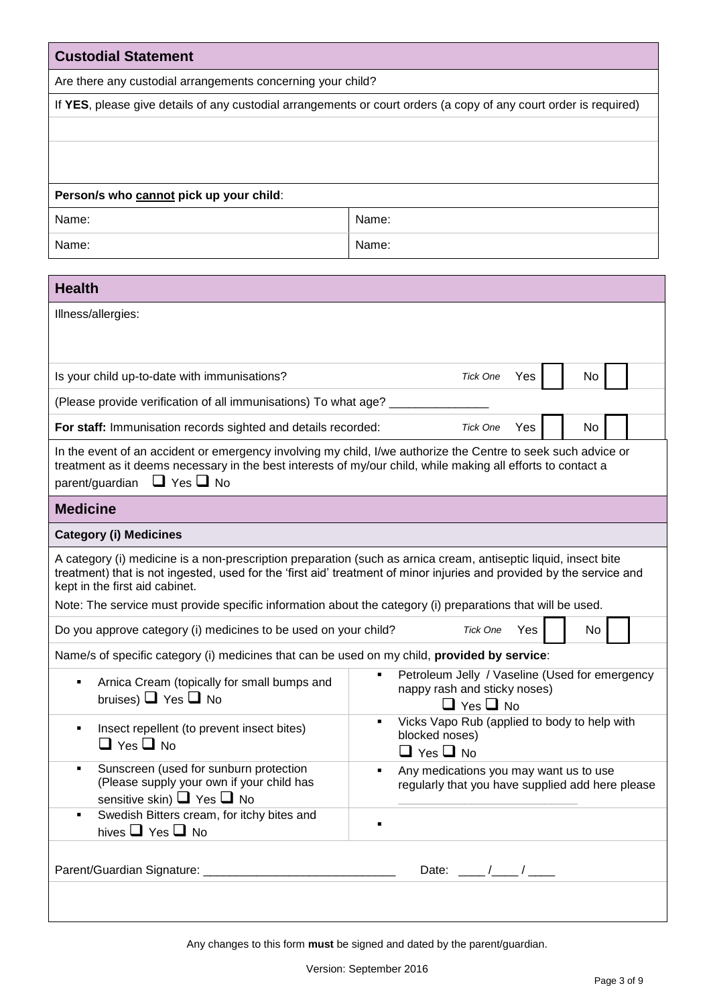| <b>Custodial Statement</b>                                                                                                                                                                                                    |                                                                                                                       |  |  |  |  |  |
|-------------------------------------------------------------------------------------------------------------------------------------------------------------------------------------------------------------------------------|-----------------------------------------------------------------------------------------------------------------------|--|--|--|--|--|
| Are there any custodial arrangements concerning your child?                                                                                                                                                                   |                                                                                                                       |  |  |  |  |  |
| If YES, please give details of any custodial arrangements or court orders (a copy of any court order is required)                                                                                                             |                                                                                                                       |  |  |  |  |  |
|                                                                                                                                                                                                                               |                                                                                                                       |  |  |  |  |  |
|                                                                                                                                                                                                                               |                                                                                                                       |  |  |  |  |  |
| Person/s who cannot pick up your child:                                                                                                                                                                                       |                                                                                                                       |  |  |  |  |  |
| Name:                                                                                                                                                                                                                         | Name:                                                                                                                 |  |  |  |  |  |
| Name:                                                                                                                                                                                                                         | Name:                                                                                                                 |  |  |  |  |  |
|                                                                                                                                                                                                                               |                                                                                                                       |  |  |  |  |  |
| <b>Health</b>                                                                                                                                                                                                                 |                                                                                                                       |  |  |  |  |  |
| Illness/allergies:                                                                                                                                                                                                            |                                                                                                                       |  |  |  |  |  |
|                                                                                                                                                                                                                               |                                                                                                                       |  |  |  |  |  |
| Is your child up-to-date with immunisations?                                                                                                                                                                                  | <b>Tick One</b><br>Yes<br>No                                                                                          |  |  |  |  |  |
| (Please provide verification of all immunisations) To what age?                                                                                                                                                               |                                                                                                                       |  |  |  |  |  |
| For staff: Immunisation records sighted and details recorded:                                                                                                                                                                 | Yes<br>No<br><b>Tick One</b>                                                                                          |  |  |  |  |  |
|                                                                                                                                                                                                                               |                                                                                                                       |  |  |  |  |  |
| In the event of an accident or emergency involving my child, I/we authorize the Centre to seek such advice or<br>treatment as it deems necessary in the best interests of my/our child, while making all efforts to contact a |                                                                                                                       |  |  |  |  |  |
| parent/guardian $\Box$ Yes $\Box$ No                                                                                                                                                                                          |                                                                                                                       |  |  |  |  |  |
| <b>Medicine</b>                                                                                                                                                                                                               |                                                                                                                       |  |  |  |  |  |
| <b>Category (i) Medicines</b>                                                                                                                                                                                                 |                                                                                                                       |  |  |  |  |  |
| A category (i) medicine is a non-prescription preparation (such as arnica cream, antiseptic liquid, insect bite<br>kept in the first aid cabinet.                                                                             | treatment) that is not ingested, used for the 'first aid' treatment of minor injuries and provided by the service and |  |  |  |  |  |
| Note: The service must provide specific information about the category (i) preparations that will be used.                                                                                                                    |                                                                                                                       |  |  |  |  |  |
| Do you approve category (i) medicines to be used on your child?                                                                                                                                                               | <b>Tick One</b><br>Yes<br>No                                                                                          |  |  |  |  |  |
| Name/s of specific category (i) medicines that can be used on my child, provided by service:                                                                                                                                  |                                                                                                                       |  |  |  |  |  |
| Arnica Cream (topically for small bumps and<br>bruises) $\Box$ Yes $\Box$ No                                                                                                                                                  | Petroleum Jelly / Vaseline (Used for emergency<br>nappy rash and sticky noses)<br>$\Box$ Yes $\Box$ No                |  |  |  |  |  |
| Insect repellent (to prevent insect bites)<br>٠<br>$\Box$ Yes $\Box$ No                                                                                                                                                       | Vicks Vapo Rub (applied to body to help with<br>blocked noses)<br>$\Box$ Yes $\Box$ No                                |  |  |  |  |  |
| Sunscreen (used for sunburn protection<br>(Please supply your own if your child has<br>sensitive skin) $\Box$ Yes $\Box$ No                                                                                                   | Any medications you may want us to use<br>٠<br>regularly that you have supplied add here please                       |  |  |  |  |  |
| Swedish Bitters cream, for itchy bites and<br>hives $\Box$ Yes $\Box$ No                                                                                                                                                      |                                                                                                                       |  |  |  |  |  |
| Parent/Guardian Signature: _____________________                                                                                                                                                                              | Date: $\frac{\ }{\ }$                                                                                                 |  |  |  |  |  |
|                                                                                                                                                                                                                               |                                                                                                                       |  |  |  |  |  |

Any changes to this form **must** be signed and dated by the parent/guardian.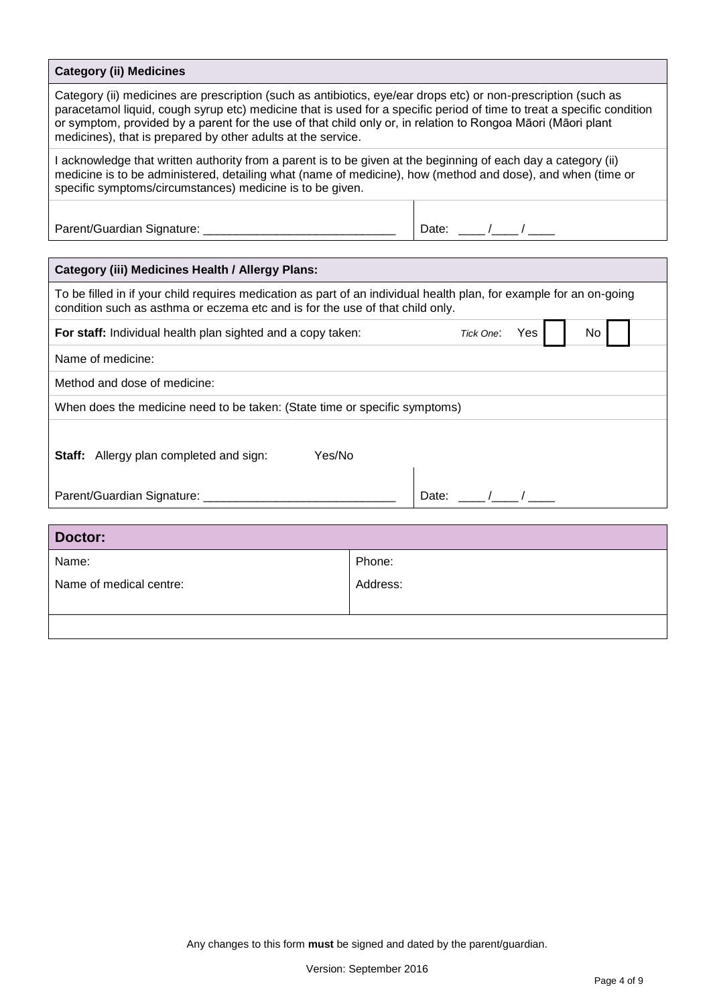| <b>Category (ii) Medicines</b>                                                                                                                                                                                                                                                                                                                                                                                           |          |  |  |  |  |  |  |
|--------------------------------------------------------------------------------------------------------------------------------------------------------------------------------------------------------------------------------------------------------------------------------------------------------------------------------------------------------------------------------------------------------------------------|----------|--|--|--|--|--|--|
| Category (ii) medicines are prescription (such as antibiotics, eye/ear drops etc) or non-prescription (such as<br>paracetamol liquid, cough syrup etc) medicine that is used for a specific period of time to treat a specific condition<br>or symptom, provided by a parent for the use of that child only or, in relation to Rongoa Māori (Māori plant<br>medicines), that is prepared by other adults at the service. |          |  |  |  |  |  |  |
| I acknowledge that written authority from a parent is to be given at the beginning of each day a category (ii)<br>medicine is to be administered, detailing what (name of medicine), how (method and dose), and when (time or<br>specific symptoms/circumstances) medicine is to be given.                                                                                                                               |          |  |  |  |  |  |  |
| Date: $\frac{\frac{1}{2}}{2}$                                                                                                                                                                                                                                                                                                                                                                                            |          |  |  |  |  |  |  |
|                                                                                                                                                                                                                                                                                                                                                                                                                          |          |  |  |  |  |  |  |
| <b>Category (iii) Medicines Health / Allergy Plans:</b>                                                                                                                                                                                                                                                                                                                                                                  |          |  |  |  |  |  |  |
| To be filled in if your child requires medication as part of an individual health plan, for example for an on-going<br>condition such as asthma or eczema etc and is for the use of that child only.                                                                                                                                                                                                                     |          |  |  |  |  |  |  |
| For staff: Individual health plan sighted and a copy taken:<br>Tick One:<br>Yes<br>No l                                                                                                                                                                                                                                                                                                                                  |          |  |  |  |  |  |  |
| Name of medicine:                                                                                                                                                                                                                                                                                                                                                                                                        |          |  |  |  |  |  |  |
| Method and dose of medicine:                                                                                                                                                                                                                                                                                                                                                                                             |          |  |  |  |  |  |  |
| When does the medicine need to be taken: (State time or specific symptoms)                                                                                                                                                                                                                                                                                                                                               |          |  |  |  |  |  |  |
| Yes/No<br>Staff: Allergy plan completed and sign:<br>Date: $\frac{1}{\sqrt{1-\frac{1}{1-\frac{1}{1-\cdots}}}}$<br>Parent/Guardian Signature: ____________________                                                                                                                                                                                                                                                        |          |  |  |  |  |  |  |
|                                                                                                                                                                                                                                                                                                                                                                                                                          |          |  |  |  |  |  |  |
| <b>Doctor:</b>                                                                                                                                                                                                                                                                                                                                                                                                           |          |  |  |  |  |  |  |
| Name:                                                                                                                                                                                                                                                                                                                                                                                                                    | Phone:   |  |  |  |  |  |  |
| Name of medical centre:                                                                                                                                                                                                                                                                                                                                                                                                  | Address: |  |  |  |  |  |  |
|                                                                                                                                                                                                                                                                                                                                                                                                                          |          |  |  |  |  |  |  |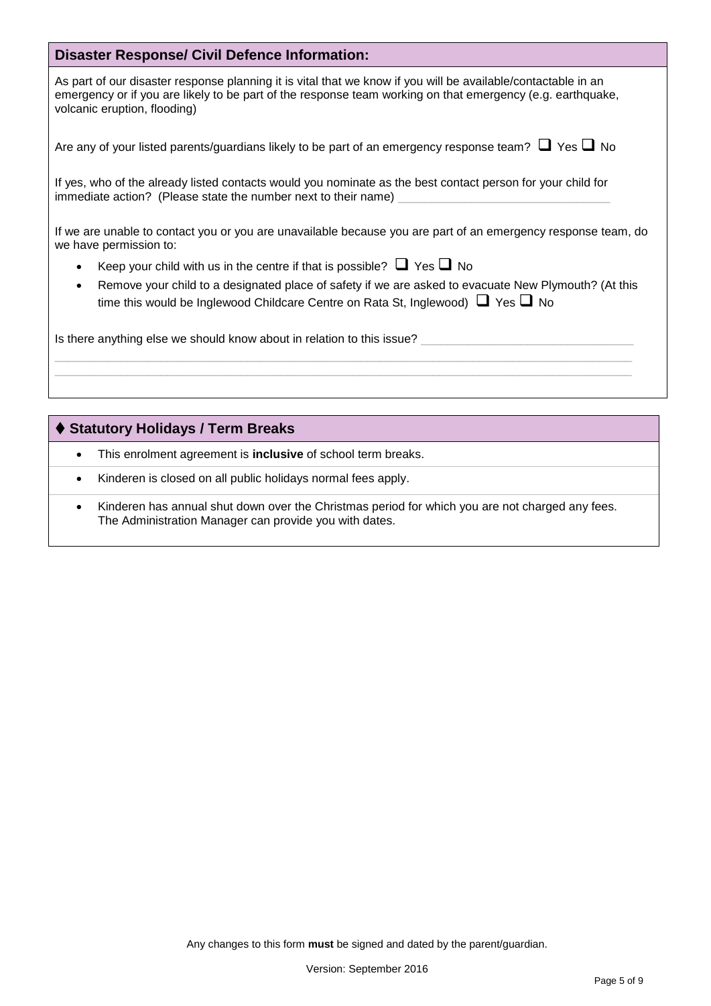### **Disaster Response/ Civil Defence Information:**

As part of our disaster response planning it is vital that we know if you will be available/contactable in an emergency or if you are likely to be part of the response team working on that emergency (e.g. earthquake, volcanic eruption, flooding)

|  |  |  | Are any of your listed parents/guardians likely to be part of an emergency response team? $\Box$ Yes $\Box$ No |  |
|--|--|--|----------------------------------------------------------------------------------------------------------------|--|
|--|--|--|----------------------------------------------------------------------------------------------------------------|--|

If yes, who of the already listed contacts would you nominate as the best contact person for your child for immediate action? (Please state the number next to their name)

If we are unable to contact you or you are unavailable because you are part of an emergency response team, do we have permission to:

- Keep your child with us in the centre if that is possible?  $\Box$  Yes  $\Box$  No
- Remove your child to a designated place of safety if we are asked to evacuate New Plymouth? (At this time this would be Inglewood Childcare Centre on Rata St, Inglewood)  $\Box$  Yes  $\Box$  No

Is there anything else we should know about in relation to this issue?

### **Statutory Holidays / Term Breaks**

- This enrolment agreement is **inclusive** of school term breaks.
- Kinderen is closed on all public holidays normal fees apply.
- Kinderen has annual shut down over the Christmas period for which you are not charged any fees. The Administration Manager can provide you with dates.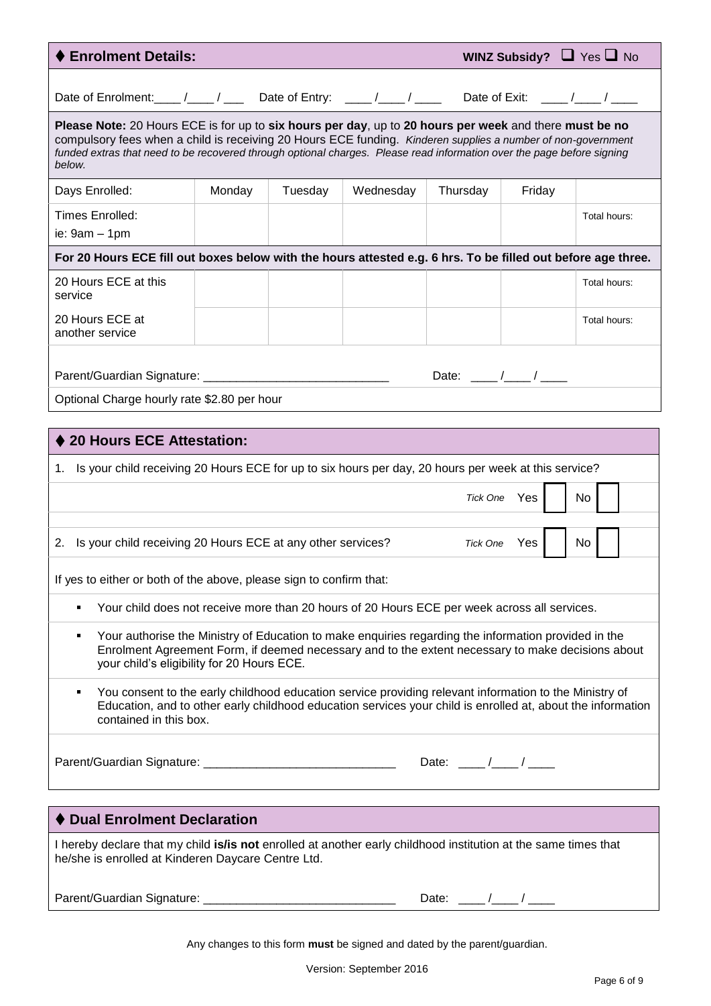| ♦ Enrolment Details:                                                                                                                                                                                                                                                                                                                                       |        |         |           |                               |        | WINZ Subsidy? $\Box$ Yes $\Box$ No |
|------------------------------------------------------------------------------------------------------------------------------------------------------------------------------------------------------------------------------------------------------------------------------------------------------------------------------------------------------------|--------|---------|-----------|-------------------------------|--------|------------------------------------|
| Date of Enrolment: ____ /____ / ____ Date of Entry: ____ /____ / ____ Date of Exit: ____ /____ / ____                                                                                                                                                                                                                                                      |        |         |           |                               |        |                                    |
| Please Note: 20 Hours ECE is for up to six hours per day, up to 20 hours per week and there must be no<br>compulsory fees when a child is receiving 20 Hours ECE funding. Kinderen supplies a number of non-government<br>funded extras that need to be recovered through optional charges. Please read information over the page before signing<br>below. |        |         |           |                               |        |                                    |
| Days Enrolled:                                                                                                                                                                                                                                                                                                                                             | Monday | Tuesday | Wednesday | Thursday                      | Friday |                                    |
| Times Enrolled:<br>ie: $9am - 1pm$                                                                                                                                                                                                                                                                                                                         |        |         |           |                               |        | Total hours:                       |
| For 20 Hours ECE fill out boxes below with the hours attested e.g. 6 hrs. To be filled out before age three.                                                                                                                                                                                                                                               |        |         |           |                               |        |                                    |
| 20 Hours ECE at this<br>service                                                                                                                                                                                                                                                                                                                            |        |         |           |                               |        | Total hours:                       |
| 20 Hours ECE at<br>another service                                                                                                                                                                                                                                                                                                                         |        |         |           |                               |        | Total hours:                       |
|                                                                                                                                                                                                                                                                                                                                                            |        |         |           | Date: $\frac{1}{\sqrt{2\pi}}$ |        |                                    |
| Optional Charge hourly rate \$2.80 per hour                                                                                                                                                                                                                                                                                                                |        |         |           |                               |        |                                    |
|                                                                                                                                                                                                                                                                                                                                                            |        |         |           |                               |        |                                    |
| ♦ 20 Hours ECE Attestation:                                                                                                                                                                                                                                                                                                                                |        |         |           |                               |        |                                    |
| 1. Is your child receiving 20 Hours ECE for up to six hours per day, 20 hours per week at this service?                                                                                                                                                                                                                                                    |        |         |           |                               |        |                                    |
| Tick One Yes<br>No                                                                                                                                                                                                                                                                                                                                         |        |         |           |                               |        |                                    |
| 2. Is your child receiving 20 Hours ECE at any other services?<br>Tick One Yes<br>No                                                                                                                                                                                                                                                                       |        |         |           |                               |        |                                    |
| If yes to either or both of the above, please sign to confirm that:                                                                                                                                                                                                                                                                                        |        |         |           |                               |        |                                    |
| Your child does not receive more than 20 hours of 20 Hours ECE per week across all services.                                                                                                                                                                                                                                                               |        |         |           |                               |        |                                    |
| Your authorise the Ministry of Education to make enquiries regarding the information provided in the<br>٠<br>Enrolment Agreement Form, if deemed necessary and to the extent necessary to make decisions about<br>your child's eligibility for 20 Hours ECE.                                                                                               |        |         |           |                               |        |                                    |
| You consent to the early childhood education service providing relevant information to the Ministry of<br>٠<br>Education, and to other early childhood education services your child is enrolled at, about the information<br>contained in this box.                                                                                                       |        |         |           |                               |        |                                    |
| Date: $\frac{1}{\sqrt{2\pi}}$                                                                                                                                                                                                                                                                                                                              |        |         |           |                               |        |                                    |
| <b>Dual Enrolment Declaration</b>                                                                                                                                                                                                                                                                                                                          |        |         |           |                               |        |                                    |
|                                                                                                                                                                                                                                                                                                                                                            |        |         |           |                               |        |                                    |
| I hereby declare that my child is/is not enrolled at another early childhood institution at the same times that<br>he/she is enrolled at Kinderen Daycare Centre Ltd.                                                                                                                                                                                      |        |         |           |                               |        |                                    |

Parent/Guardian Signature: \_\_\_\_\_\_\_\_\_\_\_\_\_\_\_\_\_\_\_\_\_\_\_\_\_\_\_\_\_ Date: \_\_\_\_ /\_\_\_\_ / \_\_\_\_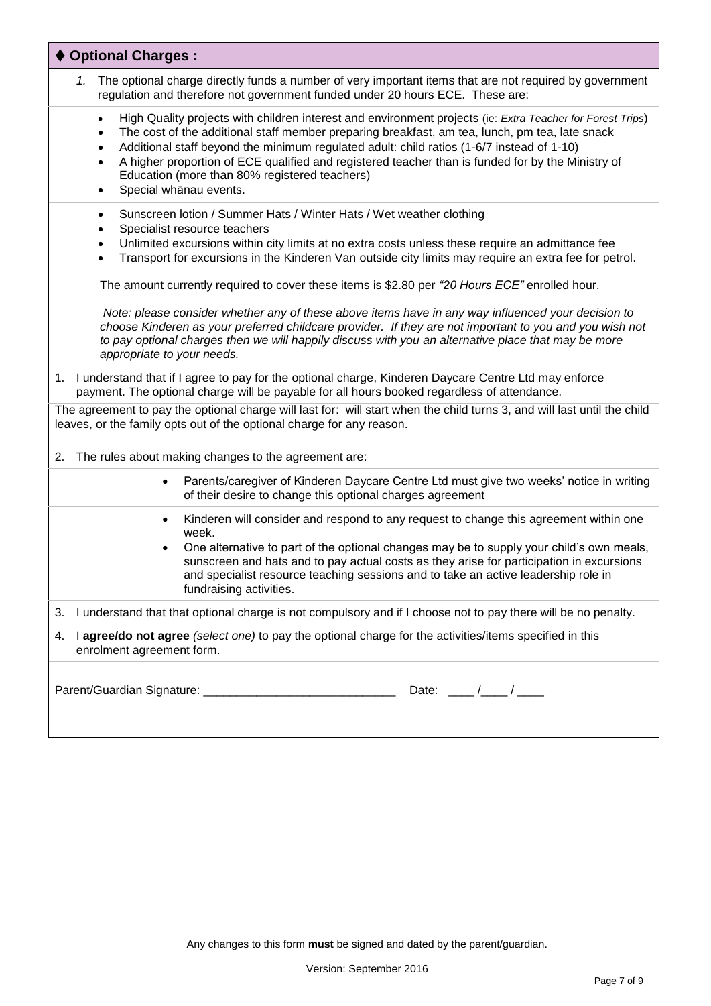| ♦ Optional Charges:                                                                                                                                                                                                                                                                                                                                                                                                                                                                                                                                |
|----------------------------------------------------------------------------------------------------------------------------------------------------------------------------------------------------------------------------------------------------------------------------------------------------------------------------------------------------------------------------------------------------------------------------------------------------------------------------------------------------------------------------------------------------|
| The optional charge directly funds a number of very important items that are not required by government<br>1.<br>regulation and therefore not government funded under 20 hours ECE. These are:                                                                                                                                                                                                                                                                                                                                                     |
| High Quality projects with children interest and environment projects (ie: Extra Teacher for Forest Trips)<br>$\bullet$<br>The cost of the additional staff member preparing breakfast, am tea, lunch, pm tea, late snack<br>$\bullet$<br>Additional staff beyond the minimum regulated adult: child ratios (1-6/7 instead of 1-10)<br>٠<br>A higher proportion of ECE qualified and registered teacher than is funded for by the Ministry of<br>$\bullet$<br>Education (more than 80% registered teachers)<br>Special whānau events.<br>$\bullet$ |
| Sunscreen lotion / Summer Hats / Winter Hats / Wet weather clothing<br>$\bullet$<br>Specialist resource teachers<br>٠<br>Unlimited excursions within city limits at no extra costs unless these require an admittance fee<br>$\bullet$<br>Transport for excursions in the Kinderen Van outside city limits may require an extra fee for petrol.<br>$\bullet$                                                                                                                                                                                       |
| The amount currently required to cover these items is \$2.80 per "20 Hours ECE" enrolled hour.<br>Note: please consider whether any of these above items have in any way influenced your decision to<br>choose Kinderen as your preferred childcare provider. If they are not important to you and you wish not<br>to pay optional charges then we will happily discuss with you an alternative place that may be more<br>appropriate to your needs.                                                                                               |
| 1. I understand that if I agree to pay for the optional charge, Kinderen Daycare Centre Ltd may enforce<br>payment. The optional charge will be payable for all hours booked regardless of attendance.                                                                                                                                                                                                                                                                                                                                             |
| The agreement to pay the optional charge will last for: will start when the child turns 3, and will last until the child<br>leaves, or the family opts out of the optional charge for any reason.                                                                                                                                                                                                                                                                                                                                                  |
| The rules about making changes to the agreement are:<br>2.                                                                                                                                                                                                                                                                                                                                                                                                                                                                                         |
| Parents/caregiver of Kinderen Daycare Centre Ltd must give two weeks' notice in writing<br>of their desire to change this optional charges agreement                                                                                                                                                                                                                                                                                                                                                                                               |
| Kinderen will consider and respond to any request to change this agreement within one<br>٠<br>week.<br>One alternative to part of the optional changes may be to supply your child's own meals,<br>٠<br>sunscreen and hats and to pay actual costs as they arise for participation in excursions<br>and specialist resource teaching sessions and to take an active leadership role in<br>fundraising activities.                                                                                                                                  |
| I understand that that optional charge is not compulsory and if I choose not to pay there will be no penalty.<br>3.                                                                                                                                                                                                                                                                                                                                                                                                                                |
| I agree/do not agree (select one) to pay the optional charge for the activities/items specified in this<br>4.<br>enrolment agreement form.                                                                                                                                                                                                                                                                                                                                                                                                         |
| Date: $\frac{\ }{\ }$                                                                                                                                                                                                                                                                                                                                                                                                                                                                                                                              |

Any changes to this form **must** be signed and dated by the parent/guardian.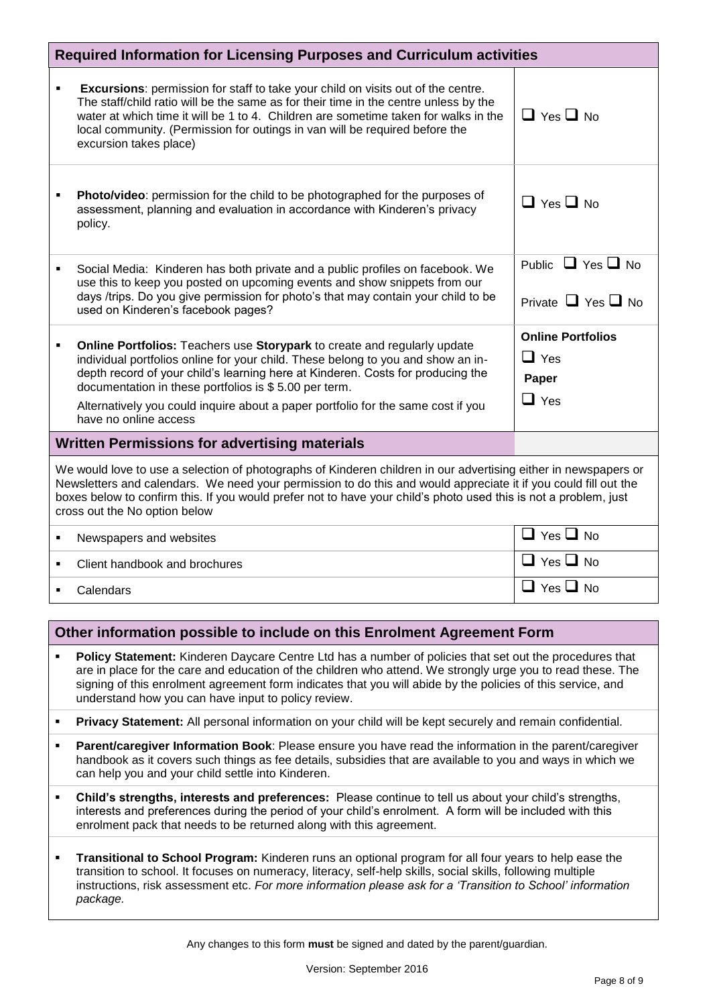| <b>Required Information for Licensing Purposes and Curriculum activities</b>                                                                                                                                                                                                                                                                                                            |                                                                                                                                                                                                                                                                                                                                                                                                                       |                                                               |  |  |  |  |
|-----------------------------------------------------------------------------------------------------------------------------------------------------------------------------------------------------------------------------------------------------------------------------------------------------------------------------------------------------------------------------------------|-----------------------------------------------------------------------------------------------------------------------------------------------------------------------------------------------------------------------------------------------------------------------------------------------------------------------------------------------------------------------------------------------------------------------|---------------------------------------------------------------|--|--|--|--|
| ٠                                                                                                                                                                                                                                                                                                                                                                                       | <b>Excursions:</b> permission for staff to take your child on visits out of the centre.<br>The staff/child ratio will be the same as for their time in the centre unless by the<br>water at which time it will be 1 to 4. Children are sometime taken for walks in the<br>local community. (Permission for outings in van will be required before the<br>excursion takes place)                                       | $\Box$ Yes $\Box$ No.                                         |  |  |  |  |
|                                                                                                                                                                                                                                                                                                                                                                                         | Photo/video: permission for the child to be photographed for the purposes of<br>assessment, planning and evaluation in accordance with Kinderen's privacy<br>policy.                                                                                                                                                                                                                                                  | $\Box$ Yes $\Box$ No                                          |  |  |  |  |
| ٠                                                                                                                                                                                                                                                                                                                                                                                       | Social Media: Kinderen has both private and a public profiles on facebook. We<br>use this to keep you posted on upcoming events and show snippets from our<br>days /trips. Do you give permission for photo's that may contain your child to be<br>used on Kinderen's facebook pages?                                                                                                                                 | Public $\Box$ Yes $\Box$ No<br>Private $\Box$ Yes $\Box$ No   |  |  |  |  |
| ٠                                                                                                                                                                                                                                                                                                                                                                                       | Online Portfolios: Teachers use Storypark to create and regularly update<br>individual portfolios online for your child. These belong to you and show an in-<br>depth record of your child's learning here at Kinderen. Costs for producing the<br>documentation in these portfolios is \$5.00 per term.<br>Alternatively you could inquire about a paper portfolio for the same cost if you<br>have no online access | <b>Online Portfolios</b><br>$\Box$ Yes<br>Paper<br>$\Box$ Yes |  |  |  |  |
| <b>Written Permissions for advertising materials</b>                                                                                                                                                                                                                                                                                                                                    |                                                                                                                                                                                                                                                                                                                                                                                                                       |                                                               |  |  |  |  |
| We would love to use a selection of photographs of Kinderen children in our advertising either in newspapers or<br>Newsletters and calendars. We need your permission to do this and would appreciate it if you could fill out the<br>boxes below to confirm this. If you would prefer not to have your child's photo used this is not a problem, just<br>cross out the No option below |                                                                                                                                                                                                                                                                                                                                                                                                                       |                                                               |  |  |  |  |
| $\blacksquare$                                                                                                                                                                                                                                                                                                                                                                          | Newspapers and websites                                                                                                                                                                                                                                                                                                                                                                                               | $\Box$ Yes $\Box$ No                                          |  |  |  |  |
| ٠                                                                                                                                                                                                                                                                                                                                                                                       | Client handbook and brochures                                                                                                                                                                                                                                                                                                                                                                                         | $\Box$ Yes $\Box$ No                                          |  |  |  |  |
|                                                                                                                                                                                                                                                                                                                                                                                         | Calendars                                                                                                                                                                                                                                                                                                                                                                                                             | $\Box$ Yes $\Box$ No                                          |  |  |  |  |

# **Other information possible to include on this Enrolment Agreement Form**

- **Policy Statement:** Kinderen Daycare Centre Ltd has a number of policies that set out the procedures that are in place for the care and education of the children who attend. We strongly urge you to read these. The signing of this enrolment agreement form indicates that you will abide by the policies of this service, and understand how you can have input to policy review.
- **Privacy Statement:** All personal information on your child will be kept securely and remain confidential.
- **Parent/caregiver Information Book**: Please ensure you have read the information in the parent/caregiver handbook as it covers such things as fee details, subsidies that are available to you and ways in which we can help you and your child settle into Kinderen.
- **Child's strengths, interests and preferences:** Please continue to tell us about your child's strengths, interests and preferences during the period of your child's enrolment. A form will be included with this enrolment pack that needs to be returned along with this agreement.
- **Transitional to School Program:** Kinderen runs an optional program for all four years to help ease the transition to school. It focuses on numeracy, literacy, self-help skills, social skills, following multiple instructions, risk assessment etc. *For more information please ask for a 'Transition to School' information package.*